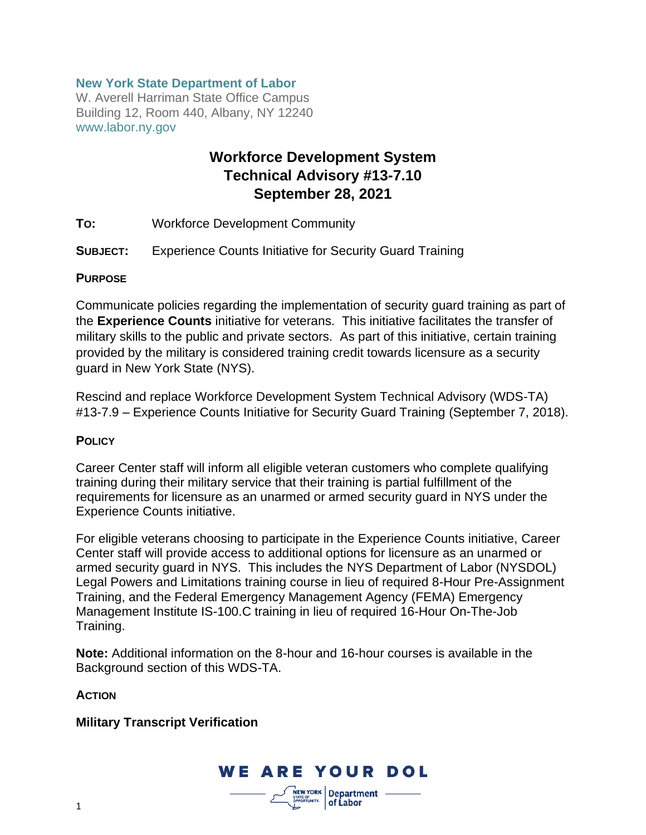### **New York State Department of Labor**

W. Averell Harriman State Office Campus Building 12, Room 440, Albany, NY 12240 www.labor.ny.gov

# **Workforce Development System Technical Advisory #13-7.10 September 28, 2021**

- **TO:** Workforce Development Community
- **SUBJECT:** Experience Counts Initiative for Security Guard Training

#### **PURPOSE**

Communicate policies regarding the implementation of security guard training as part of the **Experience Counts** initiative for veterans. This initiative facilitates the transfer of military skills to the public and private sectors. As part of this initiative, certain training provided by the military is considered training credit towards licensure as a security guard in New York State (NYS).

Rescind and replace Workforce Development System Technical Advisory (WDS-TA) #13-7.9 – Experience Counts Initiative for Security Guard Training (September 7, 2018).

#### **POLICY**

Career Center staff will inform all eligible veteran customers who complete qualifying training during their military service that their training is partial fulfillment of the requirements for licensure as an unarmed or armed security guard in NYS under the Experience Counts initiative.

For eligible veterans choosing to participate in the Experience Counts initiative, Career Center staff will provide access to additional options for licensure as an unarmed or armed security guard in NYS. This includes the NYS Department of Labor (NYSDOL) Legal Powers and Limitations training course in lieu of required 8-Hour Pre-Assignment Training, and the Federal Emergency Management Agency (FEMA) Emergency Management Institute IS-100.C training in lieu of required 16-Hour On-The-Job Training.

**Note:** Additional information on the 8-hour and 16-hour courses is available in the Background section of this WDS-TA.

**ACTION**

#### **Military Transcript Verification**

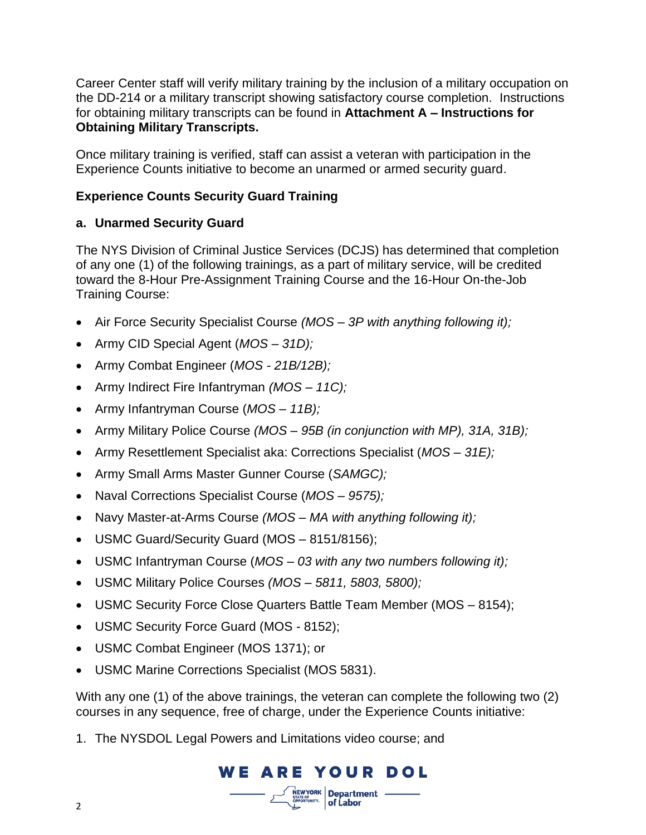Career Center staff will verify military training by the inclusion of a military occupation on the DD-214 or a military transcript showing satisfactory course completion. Instructions for obtaining military transcripts can be found in **Attachment A – Instructions for Obtaining Military Transcripts.**

Once military training is verified, staff can assist a veteran with participation in the Experience Counts initiative to become an unarmed or armed security guard.

## **Experience Counts Security Guard Training**

## **a. Unarmed Security Guard**

The NYS Division of Criminal Justice Services (DCJS) has determined that completion of any one (1) of the following trainings, as a part of military service, will be credited toward the 8-Hour Pre-Assignment Training Course and the 16-Hour On-the-Job Training Course:

- Air Force Security Specialist Course *(MOS – 3P with anything following it);*
- Army CID Special Agent (*MOS – 31D);*
- Army Combat Engineer (*MOS - 21B/12B);*
- Army Indirect Fire Infantryman *(MOS – 11C);*
- Army Infantryman Course (*MOS – 11B);*
- Army Military Police Course *(MOS – 95B (in conjunction with MP), 31A, 31B);*
- Army Resettlement Specialist aka: Corrections Specialist (*MOS – 31E);*
- Army Small Arms Master Gunner Course (*SAMGC);*
- Naval Corrections Specialist Course (*MOS – 9575);*
- Navy Master-at-Arms Course *(MOS – MA with anything following it);*
- USMC Guard/Security Guard (MOS 8151/8156);
- USMC Infantryman Course (*MOS – 03 with any two numbers following it);*
- USMC Military Police Courses *(MOS – 5811, 5803, 5800);*
- USMC Security Force Close Quarters Battle Team Member (MOS 8154);
- USMC Security Force Guard (MOS 8152);
- USMC Combat Engineer (MOS 1371); or
- USMC Marine Corrections Specialist (MOS 5831).

With any one (1) of the above trainings, the veteran can complete the following two (2) courses in any sequence, free of charge, under the Experience Counts initiative:

**WE ARE YOUR DOL** 

STATE OF<br>OPPORTUNITY.

**NEW YORK** Department -

of Labor

1. The NYSDOL Legal Powers and Limitations video course; and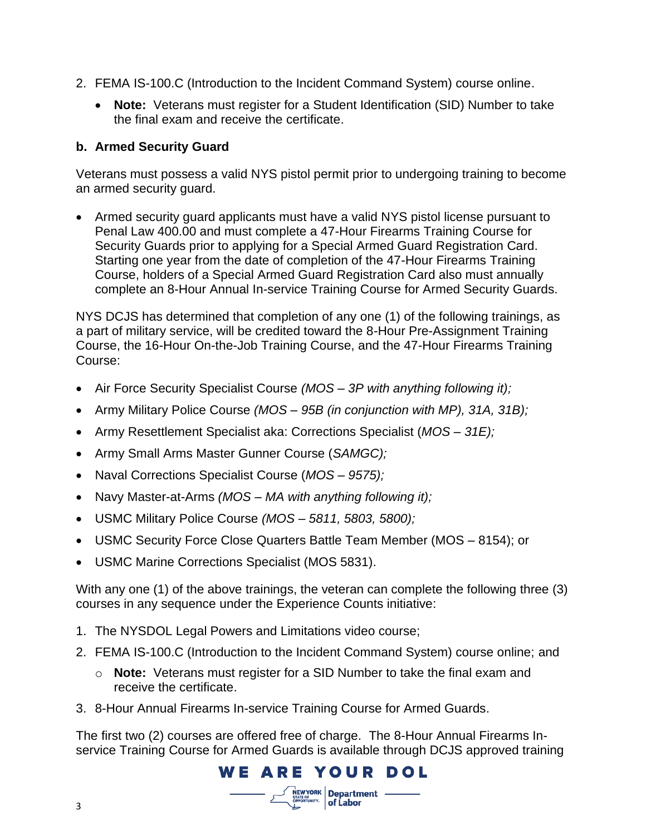- 2. FEMA IS-100.C (Introduction to the Incident Command System) course online.
	- **Note:** Veterans must register for a Student Identification (SID) Number to take the final exam and receive the certificate.

## **b. Armed Security Guard**

Veterans must possess a valid NYS pistol permit prior to undergoing training to become an armed security guard.

• Armed security guard applicants must have a valid NYS pistol license pursuant to Penal Law 400.00 and must complete a 47-Hour Firearms Training Course for Security Guards prior to applying for a Special Armed Guard Registration Card. Starting one year from the date of completion of the 47-Hour Firearms Training Course, holders of a Special Armed Guard Registration Card also must annually complete an 8-Hour Annual In-service Training Course for Armed Security Guards.

NYS DCJS has determined that completion of any one (1) of the following trainings, as a part of military service, will be credited toward the 8-Hour Pre-Assignment Training Course, the 16-Hour On-the-Job Training Course, and the 47-Hour Firearms Training Course:

- Air Force Security Specialist Course *(MOS – 3P with anything following it);*
- Army Military Police Course *(MOS – 95B (in conjunction with MP), 31A, 31B);*
- Army Resettlement Specialist aka: Corrections Specialist (*MOS – 31E);*
- Army Small Arms Master Gunner Course (*SAMGC);*
- Naval Corrections Specialist Course (*MOS – 9575);*
- Navy Master-at-Arms *(MOS – MA with anything following it);*
- USMC Military Police Course *(MOS – 5811, 5803, 5800);*
- USMC Security Force Close Quarters Battle Team Member (MOS 8154); or
- USMC Marine Corrections Specialist (MOS 5831).

With any one (1) of the above trainings, the veteran can complete the following three (3) courses in any sequence under the Experience Counts initiative:

- 1. The NYSDOL Legal Powers and Limitations video course;
- 2. FEMA IS-100.C (Introduction to the Incident Command System) course online; and
	- o **Note:** Veterans must register for a SID Number to take the final exam and receive the certificate.
- 3. 8-Hour Annual Firearms In-service Training Course for Armed Guards.

The first two (2) courses are offered free of charge. The 8-Hour Annual Firearms Inservice Training Course for Armed Guards is available through DCJS approved training

# **WE ARE YOUR DOL**

 $\frac{N_{EW}YORK}{N_{UV}N_{UV}}$  Department -**STATE OF CORN Department**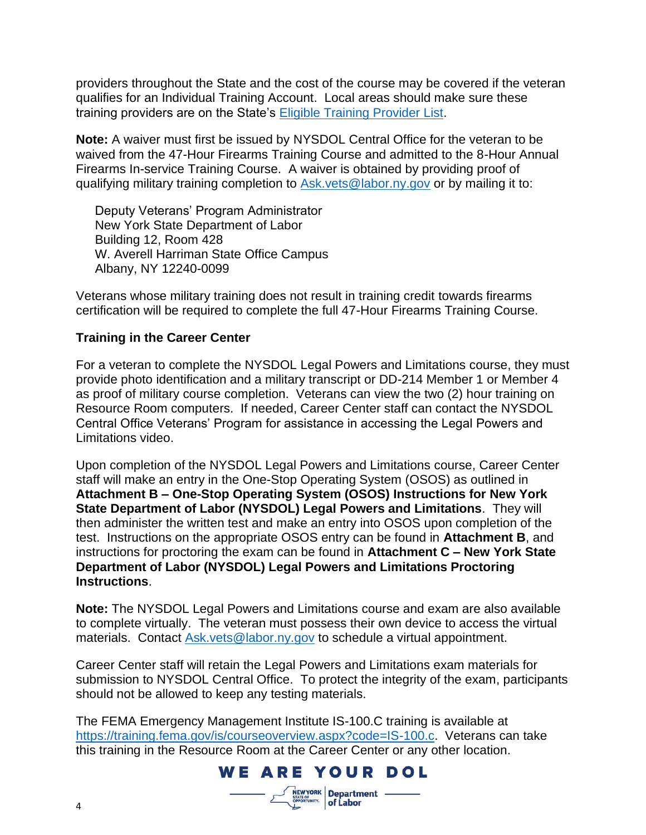providers throughout the State and the cost of the course may be covered if the veteran qualifies for an Individual Training Account. Local areas should make sure these training providers are on the State's [Eligible Training Provider List.](https://applications.labor.ny.gov/ETPL/)

**Note:** A waiver must first be issued by NYSDOL Central Office for the veteran to be waived from the 47-Hour Firearms Training Course and admitted to the 8-Hour Annual Firearms In-service Training Course. A waiver is obtained by providing proof of qualifying military training completion to [Ask.vets@labor.ny.gov](mailto:Ask.vets@labor.ny.gov) or by mailing it to:

Deputy Veterans' Program Administrator New York State Department of Labor Building 12, Room 428 W. Averell Harriman State Office Campus Albany, NY 12240-0099

Veterans whose military training does not result in training credit towards firearms certification will be required to complete the full 47-Hour Firearms Training Course.

## **Training in the Career Center**

For a veteran to complete the NYSDOL Legal Powers and Limitations course, they must provide photo identification and a military transcript or DD-214 Member 1 or Member 4 as proof of military course completion. Veterans can view the two (2) hour training on Resource Room computers. If needed, Career Center staff can contact the NYSDOL Central Office Veterans' Program for assistance in accessing the Legal Powers and Limitations video.

Upon completion of the NYSDOL Legal Powers and Limitations course, Career Center staff will make an entry in the One-Stop Operating System (OSOS) as outlined in **Attachment B – One-Stop Operating System (OSOS) Instructions for New York State Department of Labor (NYSDOL) Legal Powers and Limitations**. They will then administer the written test and make an entry into OSOS upon completion of the test. Instructions on the appropriate OSOS entry can be found in **Attachment B**, and instructions for proctoring the exam can be found in **Attachment C – New York State Department of Labor (NYSDOL) Legal Powers and Limitations Proctoring Instructions**.

**Note:** The NYSDOL Legal Powers and Limitations course and exam are also available to complete virtually. The veteran must possess their own device to access the virtual materials. Contact [Ask.vets@labor.ny.gov](mailto:Ask.vets@labor.ny.gov) to schedule a virtual appointment.

Career Center staff will retain the Legal Powers and Limitations exam materials for submission to NYSDOL Central Office. To protect the integrity of the exam, participants should not be allowed to keep any testing materials.

The FEMA Emergency Management Institute IS-100.C training is available at [https://training.fema.gov/is/courseoverview.aspx?code=IS-100.c.](https://training.fema.gov/is/courseoverview.aspx?code=IS-100.c) Veterans can take this training in the Resource Room at the Career Center or any other location.

**WE ARE YOUR DOL** 

 $\frac{1}{\text{NEW YORK}}$  Department -**STATE OF DEPARTMENTY. of Labor** 



4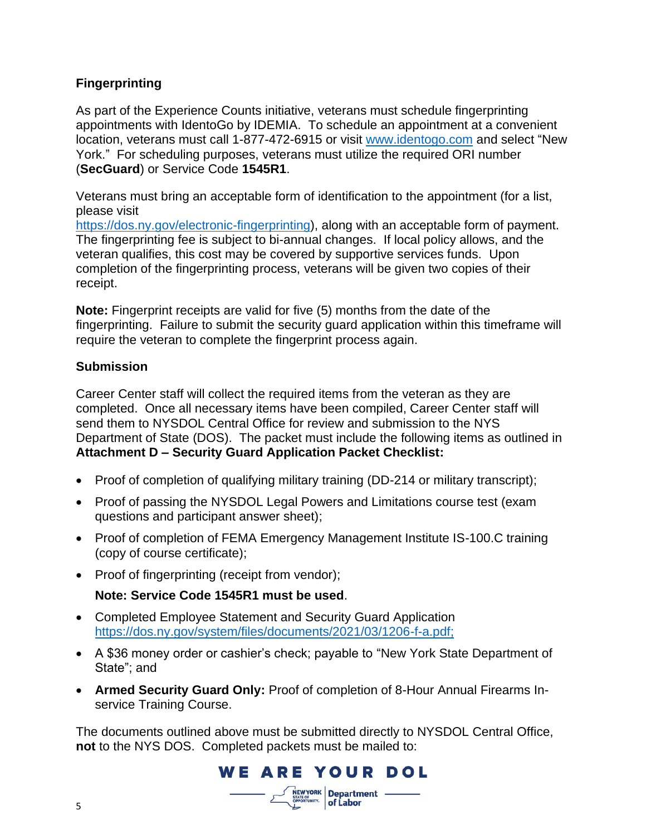## **Fingerprinting**

As part of the Experience Counts initiative, veterans must schedule fingerprinting appointments with IdentoGo by IDEMIA. To schedule an appointment at a convenient location, veterans must call 1-877-472-6915 or visit [www.identogo.com](http://www.identogo.com/) and select "New York." For scheduling purposes, veterans must utilize the required ORI number (**SecGuard**) or Service Code **1545R1**.

Veterans must bring an acceptable form of identification to the appointment (for a list, please visit

[https://dos.ny.gov/electronic-fingerprinting\)](https://dos.ny.gov/electronic-fingerprinting), along with an acceptable form of payment. The fingerprinting fee is subject to bi-annual changes. If local policy allows, and the veteran qualifies, this cost may be covered by supportive services funds. Upon completion of the fingerprinting process, veterans will be given two copies of their receipt.

**Note:** Fingerprint receipts are valid for five (5) months from the date of the fingerprinting. Failure to submit the security guard application within this timeframe will require the veteran to complete the fingerprint process again.

## **Submission**

Career Center staff will collect the required items from the veteran as they are completed. Once all necessary items have been compiled, Career Center staff will send them to NYSDOL Central Office for review and submission to the NYS Department of State (DOS). The packet must include the following items as outlined in **Attachment D – Security Guard Application Packet Checklist:**

- Proof of completion of qualifying military training (DD-214 or military transcript);
- Proof of passing the NYSDOL Legal Powers and Limitations course test (exam questions and participant answer sheet);
- Proof of completion of FEMA Emergency Management Institute IS-100.C training (copy of course certificate);
- Proof of fingerprinting (receipt from vendor);

## **Note: Service Code 1545R1 must be used**.

- Completed Employee Statement and Security Guard Application [https://dos.ny.gov/system/files/documents/2021/03/1206-f-a.pdf;](https://dos.ny.gov/system/files/documents/2021/03/1206-f-a.pdf)
- A \$36 money order or cashier's check; payable to "New York State Department of State"; and
- **Armed Security Guard Only:** Proof of completion of 8-Hour Annual Firearms Inservice Training Course.

The documents outlined above must be submitted directly to NYSDOL Central Office, **not** to the NYS DOS. Completed packets must be mailed to:

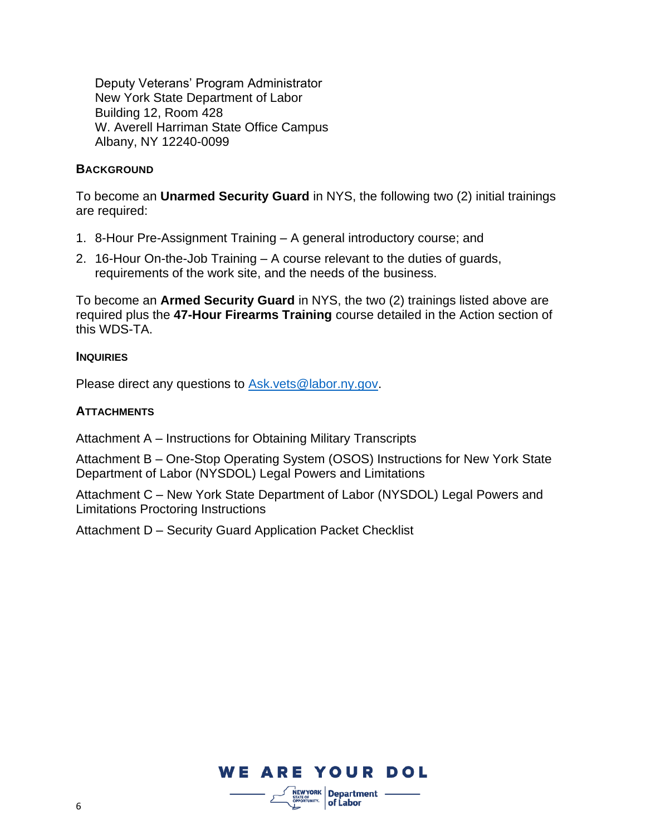Deputy Veterans' Program Administrator New York State Department of Labor Building 12, Room 428 W. Averell Harriman State Office Campus Albany, NY 12240-0099

### **BACKGROUND**

To become an **Unarmed Security Guard** in NYS, the following two (2) initial trainings are required:

- 1. 8-Hour Pre-Assignment Training A general introductory course; and
- 2. 16-Hour On-the-Job Training A course relevant to the duties of guards, requirements of the work site, and the needs of the business.

To become an **Armed Security Guard** in NYS, the two (2) trainings listed above are required plus the **47-Hour Firearms Training** course detailed in the Action section of this WDS-TA.

#### **INQUIRIES**

Please direct any questions to [Ask.vets@labor.ny.gov.](mailto:Ask.vets@labor.ny.gov)

### **ATTACHMENTS**

Attachment A – [Instructions for Obtaining Military Transcripts](file://///dol-smb/dol_shared/DOL0A1FS1/Dews-Data/DEWS-BEWO-Vets/Experience%20Counts/Technical%20Advisory-%20TA%20&%20Attachments)

Attachment B – One-Stop Operating System (OSOS) [Instructions for New York State](file://///dol-smb/dol_shared/DOL0A1FS1/Dews-Data/DEWS-BEWO-Vets/Experience%20Counts/Technical%20Advisory-%20TA%20&%20Attachments)  [Department of Labor \(NYSDOL\)](file://///dol-smb/dol_shared/DOL0A1FS1/Dews-Data/DEWS-BEWO-Vets/Experience%20Counts/Technical%20Advisory-%20TA%20&%20Attachments) Legal Powers and Limitations

Attachment C – New York State Department of Labor (NYSDOL) [Legal Powers and](file://///dol-smb/dol_shared/DOL0A1FS1/Dews-Data/DEWS-BEWO-Vets/Experience%20Counts/Technical%20Advisory-%20TA%20&%20Attachments)  [Limitations Proctoring Instructions](file://///dol-smb/dol_shared/DOL0A1FS1/Dews-Data/DEWS-BEWO-Vets/Experience%20Counts/Technical%20Advisory-%20TA%20&%20Attachments)

Attachment D – [Security Guard Application Packet Checklist](http://sdolintranet:81/dews/veterans/pdf/security-guard-training-checklist.pdf)

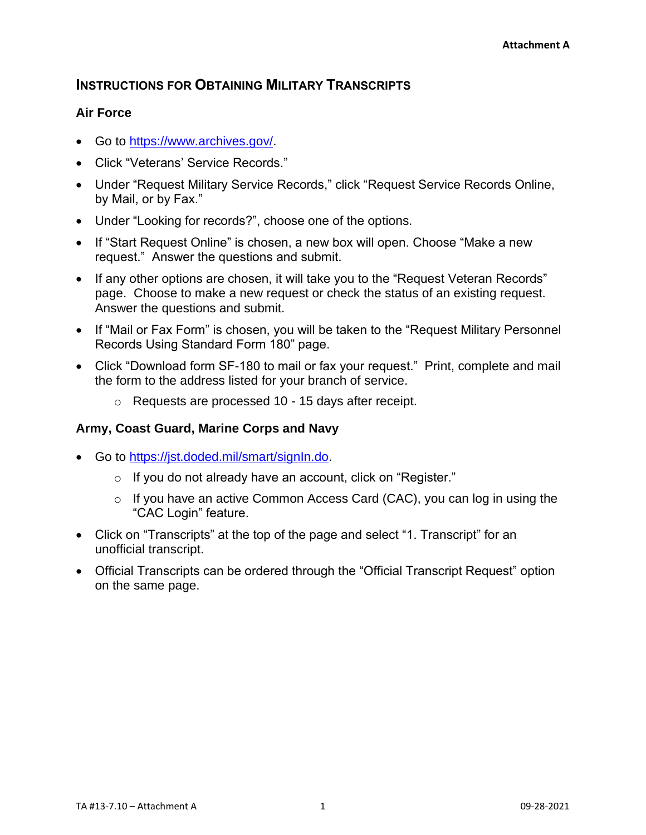# **INSTRUCTIONS FOR OBTAINING MILITARY TRANSCRIPTS**

## **Air Force**

- Go to [https://www.archives.gov/.](https://www.archives.gov/)
- Click "Veterans' Service Records."
- Under "Request Military Service Records," click "Request Service Records Online, by Mail, or by Fax."
- Under "Looking for records?", choose one of the options.
- If "Start Request Online" is chosen, a new box will open. Choose "Make a new request." Answer the questions and submit.
- If any other options are chosen, it will take you to the "Request Veteran Records" page. Choose to make a new request or check the status of an existing request. Answer the questions and submit.
- If "Mail or Fax Form" is chosen, you will be taken to the "Request Military Personnel Records Using Standard Form 180" page.
- Click "Download form SF-180 to mail or fax your request." Print, complete and mail the form to the address listed for your branch of service.
	- o Requests are processed 10 15 days after receipt.

## **Army, Coast Guard, Marine Corps and Navy**

- Go to [https://jst.doded.mil/smart/signIn.do.](https://jst.doded.mil/smart/signIn.do)
	- o If you do not already have an account, click on "Register."
	- o If you have an active Common Access Card (CAC), you can log in using the "CAC Login" feature.
- Click on "Transcripts" at the top of the page and select "1. Transcript" for an unofficial transcript.
- Official Transcripts can be ordered through the "Official Transcript Request" option on the same page.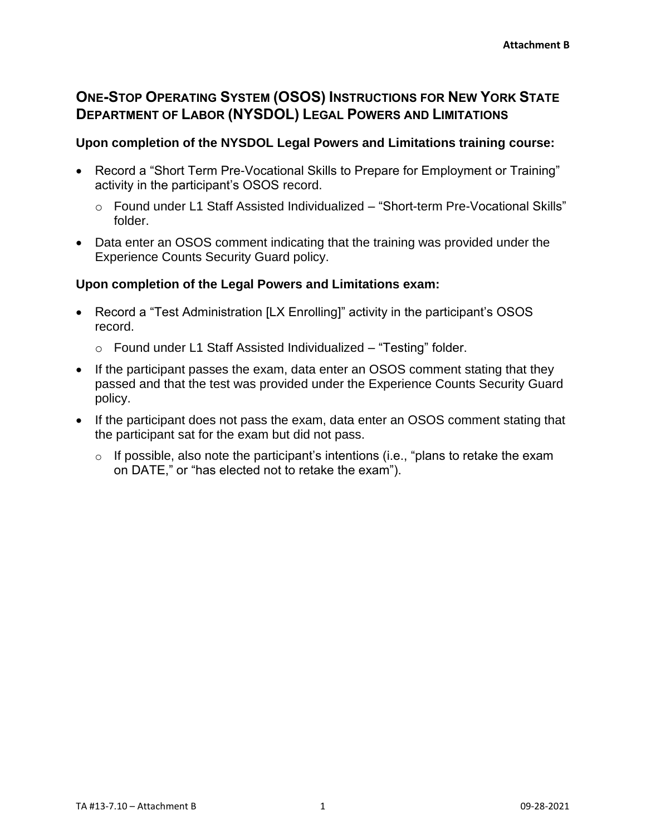# **ONE-STOP OPERATING SYSTEM (OSOS) INSTRUCTIONS FOR NEW YORK STATE DEPARTMENT OF LABOR (NYSDOL) LEGAL POWERS AND LIMITATIONS**

### **Upon completion of the NYSDOL Legal Powers and Limitations training course:**

- Record a "Short Term Pre-Vocational Skills to Prepare for Employment or Training" activity in the participant's OSOS record.
	- o Found under L1 Staff Assisted Individualized "Short-term Pre-Vocational Skills" folder.
- Data enter an OSOS comment indicating that the training was provided under the Experience Counts Security Guard policy.

## **Upon completion of the Legal Powers and Limitations exam:**

- Record a "Test Administration [LX Enrolling]" activity in the participant's OSOS record.
	- o Found under L1 Staff Assisted Individualized "Testing" folder.
- If the participant passes the exam, data enter an OSOS comment stating that they passed and that the test was provided under the Experience Counts Security Guard policy.
- If the participant does not pass the exam, data enter an OSOS comment stating that the participant sat for the exam but did not pass.
	- $\circ$  If possible, also note the participant's intentions (i.e., "plans to retake the exam on DATE," or "has elected not to retake the exam").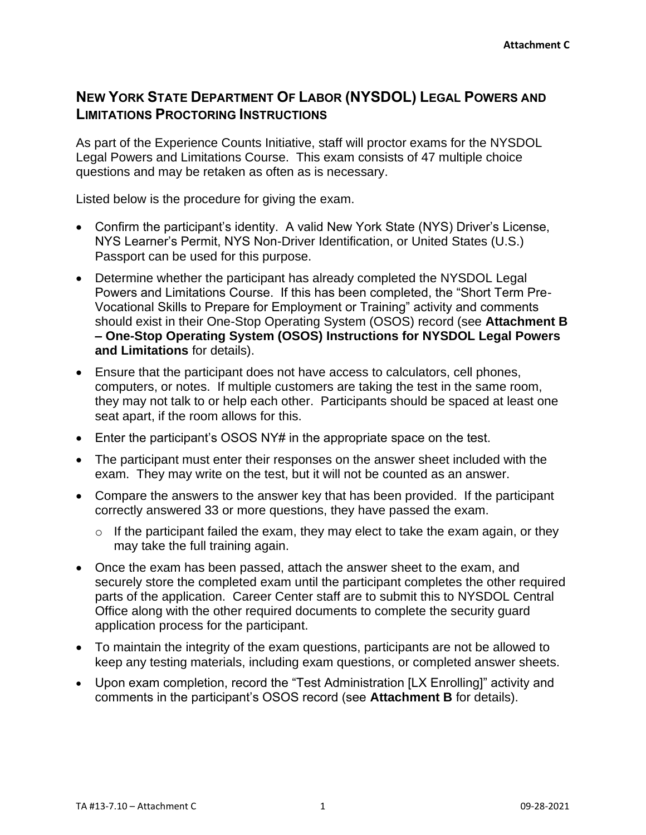# **NEW YORK STATE DEPARTMENT OF LABOR (NYSDOL) LEGAL POWERS AND LIMITATIONS PROCTORING INSTRUCTIONS**

As part of the Experience Counts Initiative, staff will proctor exams for the NYSDOL Legal Powers and Limitations Course. This exam consists of 47 multiple choice questions and may be retaken as often as is necessary.

Listed below is the procedure for giving the exam.

- Confirm the participant's identity. A valid New York State (NYS) Driver's License, NYS Learner's Permit, NYS Non-Driver Identification, or United States (U.S.) Passport can be used for this purpose.
- Determine whether the participant has already completed the NYSDOL Legal Powers and Limitations Course. If this has been completed, the "Short Term Pre-Vocational Skills to Prepare for Employment or Training" activity and comments should exist in their One-Stop Operating System (OSOS) record (see **Attachment B – One-Stop Operating System (OSOS) Instructions for NYSDOL Legal Powers and Limitations** for details).
- Ensure that the participant does not have access to calculators, cell phones, computers, or notes. If multiple customers are taking the test in the same room, they may not talk to or help each other. Participants should be spaced at least one seat apart, if the room allows for this.
- Enter the participant's OSOS NY# in the appropriate space on the test.
- The participant must enter their responses on the answer sheet included with the exam. They may write on the test, but it will not be counted as an answer.
- Compare the answers to the answer key that has been provided. If the participant correctly answered 33 or more questions, they have passed the exam.
	- $\circ$  If the participant failed the exam, they may elect to take the exam again, or they may take the full training again.
- Once the exam has been passed, attach the answer sheet to the exam, and securely store the completed exam until the participant completes the other required parts of the application. Career Center staff are to submit this to NYSDOL Central Office along with the other required documents to complete the security guard application process for the participant.
- To maintain the integrity of the exam questions, participants are not be allowed to keep any testing materials, including exam questions, or completed answer sheets.
- Upon exam completion, record the "Test Administration [LX Enrolling]" activity and comments in the participant's OSOS record (see **Attachment B** for details).